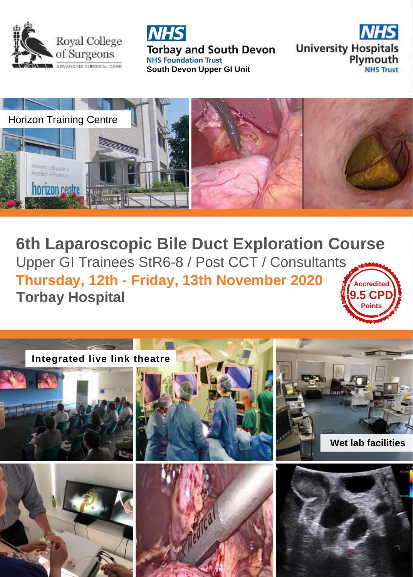







**6th Laparoscopic Bile Duct Exploration Course** Upper GI Trainees StR6-8 / Post CCT / Consultants **Thursday, 12th - Friday, 13th November 2020 Torbay Hospital Accredited 9.5 CPD Points**

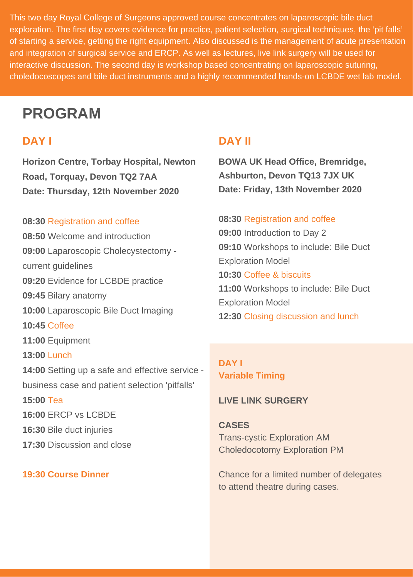This two day Royal College of Surgeons approved course concentrates on laparoscopic bile duct exploration. The first day covers evidence for practice, patient selection, surgical techniques, the 'pit falls' of starting a service, getting the right equipment. Also discussed is the management of acute presentation and integration of surgical service and ERCP. As well as lectures, live link surgery will be used for interactive discussion. The second day is workshop based concentrating on laparoscopic suturing, choledocoscopes and bile duct instruments and a highly recommended hands-on LCBDE wet lab model.

# **PROGRAM**

**Horizon Centre, Torbay Hospital, Newton Road, Torquay, Devon TQ2 7AA Date: Thursday, 12th November 2020**

### **08:30** Registration and coffee

**08:50** Welcome and introduction **09:00** Laparoscopic Cholecystectomy current guidelines **09:20** Evidence for LCBDE practice **09:45** Bilary anatomy **10:00** Laparoscopic Bile Duct Imaging **10:45** Coffee **11:00** Equipment **13:00** Lunch **14:00** Setting up a safe and effective service business case and patient selection 'pitfalls' **15:00** Tea **16:00** ERCP vs LCBDE **16:30** Bile duct injuries **17:30** Discussion and close

### **19:30 Course Dinner**

# **DAY I DAY II**

**BOWA UK Head Office, Bremridge, Ashburton, Devon TQ13 7JX UK Date: Friday, 13th November 2020**

#### **08:30** Registration and coffee

**09:00** Introduction to Day 2 **09:10** Workshops to include: Bile Duct Exploration Model **10:30** Coffee & biscuits **11:00** Workshops to include: Bile Duct Exploration Model **12:30** Closing discussion and lunch

# **DAY I Variable Timing**

**LIVE LINK SURGERY**

**CASES** Trans-cystic Exploration AM Choledocotomy Exploration PM

Chance for a limited number of delegates to attend theatre during cases.